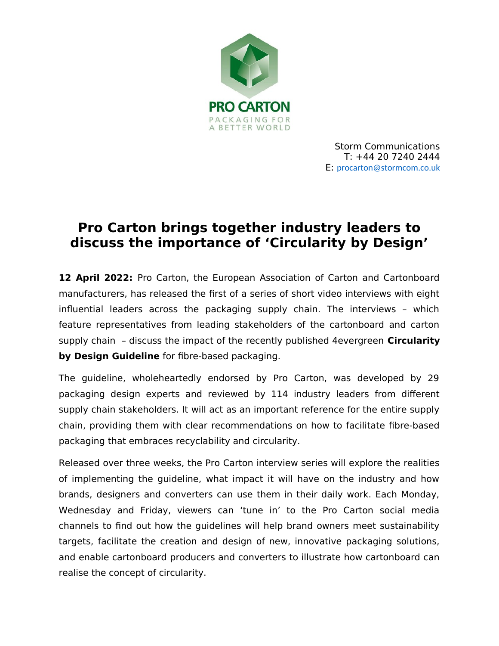

# **Pro Carton brings together industry leaders to discuss the importance of 'Circularity by Design'**

12 April 2022: Pro Carton, the European Association of Carton and Cartonboard manufacturers, has released the first of a series of short video interviews with eight influential leaders across the packaging supply chain. The interviews – which feature representatives from leading stakeholders of the cartonboard and carton supply chain – discuss the impact of the recently published 4evergreen **Circularity by Design Guideline** for fibre-based packaging.

The guideline, wholeheartedly endorsed by Pro Carton, was developed by 29 packaging design experts and reviewed by 114 industry leaders from different supply chain stakeholders. It will act as an important reference for the entire supply chain, providing them with clear recommendations on how to facilitate fibre-based packaging that embraces recyclability and circularity.

Released over three weeks, the Pro Carton interview series will explore the realities of implementing the guideline, what impact it will have on the industry and how brands, designers and converters can use them in their daily work. Each Monday, Wednesday and Friday, viewers can 'tune in' to the Pro Carton social media channels to find out how the guidelines will help brand owners meet sustainability targets, facilitate the creation and design of new, innovative packaging solutions, and enable cartonboard producers and converters to illustrate how cartonboard can realise the concept of circularity.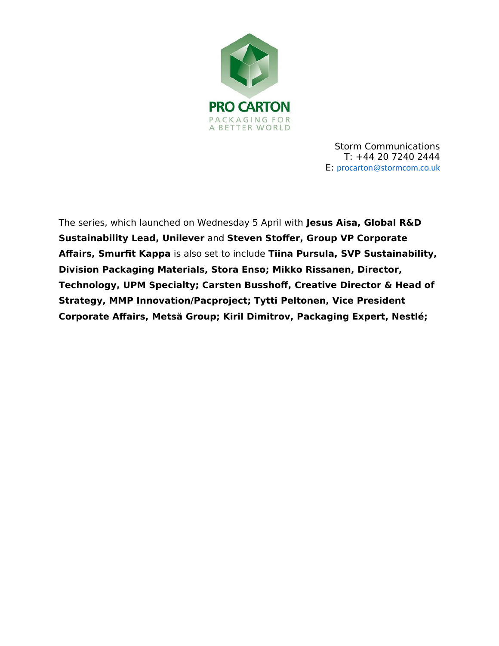

The series, which launched on Wednesday 5 April with **Jesus Aisa, Global R&D Sustainability Lead, Unilever** and **Steven Stoffer, Group VP Corporate Affairs, Smurfit Kappa** is also set to include **Tiina Pursula, SVP Sustainability, Division Packaging Materials, Stora Enso; Mikko Rissanen, Director, Technology, UPM Specialty; Carsten Busshoff, Creative Director & Head of Strategy, MMP Innovation/Pacproject; Tytti Peltonen, Vice President Corporate Affairs, Metsä Group; Kiril Dimitrov, Packaging Expert, Nestlé;**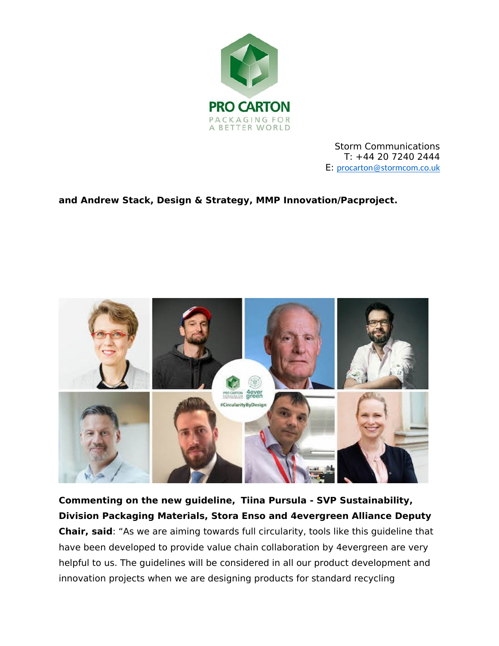

## **and Andrew Stack, Design & Strategy, MMP Innovation/Pacproject.**



**Commenting on the new guideline, Tiina Pursula - SVP Sustainability, Division Packaging Materials, Stora Enso and 4evergreen Alliance Deputy Chair, said**: "As we are aiming towards full circularity, tools like this guideline that have been developed to provide value chain collaboration by 4evergreen are very helpful to us. The guidelines will be considered in all our product development and innovation projects when we are designing products for standard recycling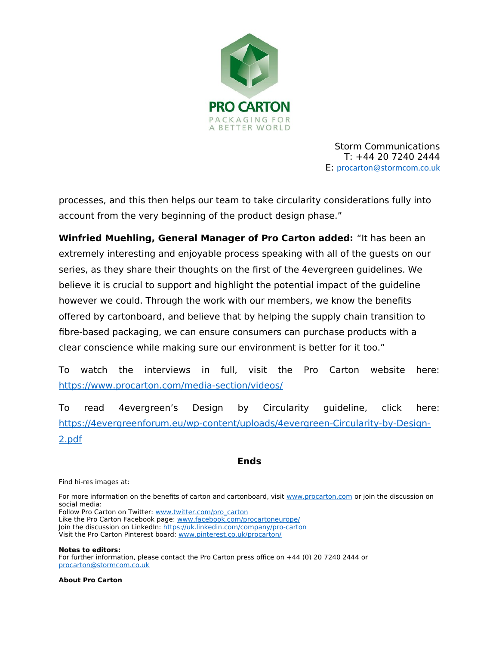

processes, and this then helps our team to take circularity considerations fully into account from the very beginning of the product design phase."

**Winfried Muehling, General Manager of Pro Carton added:** "It has been an extremely interesting and enjoyable process speaking with all of the guests on our series, as they share their thoughts on the first of the 4evergreen guidelines. We believe it is crucial to support and highlight the potential impact of the guideline however we could. Through the work with our members, we know the benefits offered by cartonboard, and believe that by helping the supply chain transition to fibre-based packaging, we can ensure consumers can purchase products with a clear conscience while making sure our environment is better for it too."

To watch the interviews in full, visit the Pro Carton website here: <https://www.procarton.com/media-section/videos/>

To read 4evergreen's Design by Circularity guideline, click here: [https://4evergreenforum.eu/wp-content/uploads/4evergreen-Circularity-by-Design-](https://4evergreenforum.eu/wp-content/uploads/4evergreen-Circularity-by-Design-2.pdf)[2.pdf](https://4evergreenforum.eu/wp-content/uploads/4evergreen-Circularity-by-Design-2.pdf)

### **Ends**

Find hi-res images at:

For more information on the benefits of carton and cartonboard, visit [www.procarton.com](http://www.procarton.com/) or join the discussion on social media:

Follow Pro Carton on Twitter: [www.twitter.com/pro\\_carton](http://www.twitter.com/pro_carton)

Like the Pro Carton Facebook page: [www.facebook.com/procartoneurope/](https://www.facebook.com/procartoneurope/) Join the discussion on LinkedIn:<https://uk.linkedin.com/company/pro-carton>

Visit the Pro Carton Pinterest board: [www.pinterest.co.uk/procarton/](https://www.pinterest.co.uk/procarton/)

**Notes to editors:**

For further information, please contact the Pro Carton press office on +44 (0) 20 7240 2444 or [procarton@stormcom.co.uk](mailto:procarton@stormcom.co.uk)

**About Pro Carton**